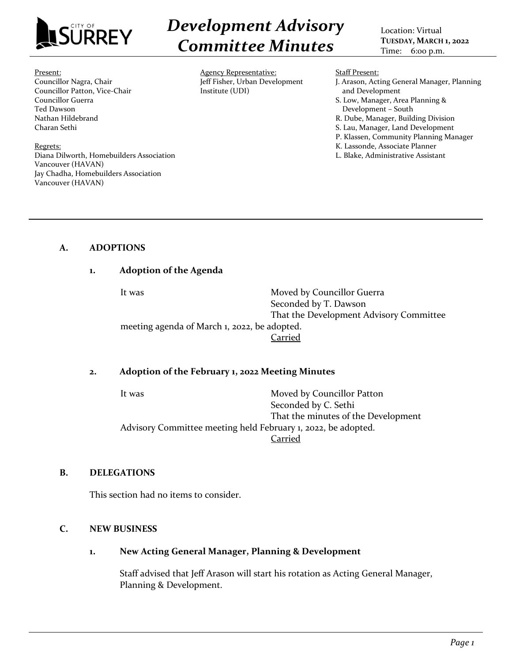

*Development Advisory Committee Minutes*

Location: Virtual **TUESDAY, MARCH 1, 2022** Time: 6:00 p.m.

#### Present:

Councillor Nagra, Chair Councillor Patton, Vice-Chair Councillor Guerra Ted Dawson Nathan Hildebrand Charan Sethi

Regrets: Diana Dilworth, Homebuilders Association Vancouver (HAVAN) Jay Chadha, Homebuilders Association Vancouver (HAVAN)

Agency Representative: Jeff Fisher, Urban Development Institute (UDI)

Staff Present:

- J. Arason, Acting General Manager, Planning and Development S. Low, Manager, Area Planning & Development – South
- R. Dube, Manager, Building Division
- S. Lau, Manager, Land Development
- P. Klassen, Community Planning Manager
- K. Lassonde, Associate Planner
- L. Blake, Administrative Assistant

# **A. ADOPTIONS**

# **1. Adoption of the Agenda**

It was **Moved by Councillor Guerra** Seconded by T. Dawson That the Development Advisory Committee meeting agenda of March 1, 2022, be adopted. Carried

### **2. Adoption of the February 1, 2022 Meeting Minutes**

It was **Moved by Councillor Patton** Seconded by C. Sethi That the minutes of the Development Advisory Committee meeting held February 1, 2022, be adopted. Carried

### **B. DELEGATIONS**

This section had no items to consider.

### **C. NEW BUSINESS**

# **1. New Acting General Manager, Planning & Development**

Staff advised that Jeff Arason will start his rotation as Acting General Manager, Planning & Development.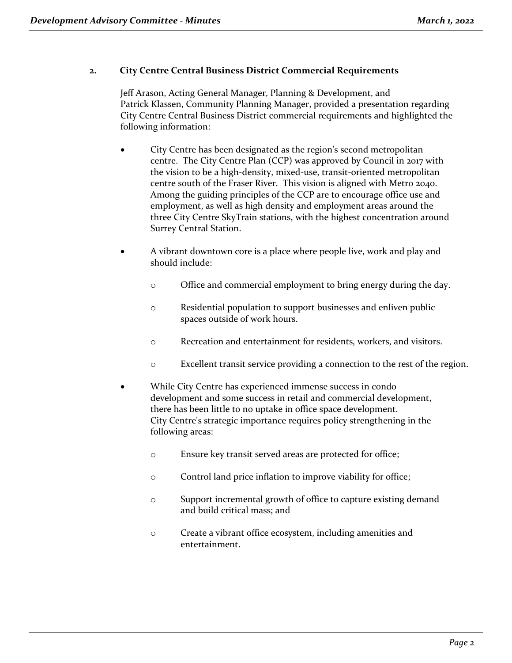# **2. City Centre Central Business District Commercial Requirements**

Jeff Arason, Acting General Manager, Planning & Development, and Patrick Klassen, Community Planning Manager, provided a presentation regarding City Centre Central Business District commercial requirements and highlighted the following information:

- City Centre has been designated as the region's second metropolitan centre. The City Centre Plan (CCP) was approved by Council in 2017 with the vision to be a high-density, mixed-use, transit-oriented metropolitan centre south of the Fraser River. This vision is aligned with Metro 2040. Among the guiding principles of the CCP are to encourage office use and employment, as well as high density and employment areas around the three City Centre SkyTrain stations, with the highest concentration around Surrey Central Station.
- A vibrant downtown core is a place where people live, work and play and should include:
	- o Office and commercial employment to bring energy during the day.
	- o Residential population to support businesses and enliven public spaces outside of work hours.
	- o Recreation and entertainment for residents, workers, and visitors.
	- o Excellent transit service providing a connection to the rest of the region.
- While City Centre has experienced immense success in condo development and some success in retail and commercial development, there has been little to no uptake in office space development. City Centre's strategic importance requires policy strengthening in the following areas:
	- o Ensure key transit served areas are protected for office;
	- o Control land price inflation to improve viability for office;
	- o Support incremental growth of office to capture existing demand and build critical mass; and
	- o Create a vibrant office ecosystem, including amenities and entertainment.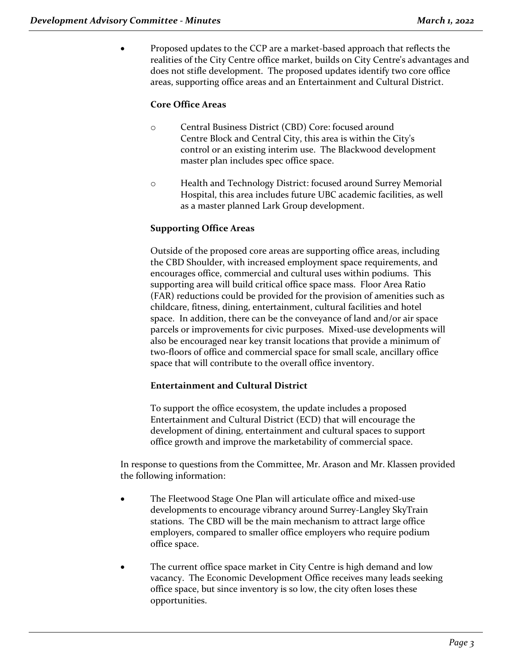• Proposed updates to the CCP are a market-based approach that reflects the realities of the City Centre office market, builds on City Centre's advantages and does not stifle development. The proposed updates identify two core office areas, supporting office areas and an Entertainment and Cultural District.

# **Core Office Areas**

- o Central Business District (CBD) Core: focused around Centre Block and Central City, this area is within the City's control or an existing interim use. The Blackwood development master plan includes spec office space.
- o Health and Technology District: focused around Surrey Memorial Hospital, this area includes future UBC academic facilities, as well as a master planned Lark Group development.

# **Supporting Office Areas**

Outside of the proposed core areas are supporting office areas, including the CBD Shoulder, with increased employment space requirements, and encourages office, commercial and cultural uses within podiums. This supporting area will build critical office space mass. Floor Area Ratio (FAR) reductions could be provided for the provision of amenities such as childcare, fitness, dining, entertainment, cultural facilities and hotel space. In addition, there can be the conveyance of land and/or air space parcels or improvements for civic purposes. Mixed-use developments will also be encouraged near key transit locations that provide a minimum of two-floors of office and commercial space for small scale, ancillary office space that will contribute to the overall office inventory.

# **Entertainment and Cultural District**

To support the office ecosystem, the update includes a proposed Entertainment and Cultural District (ECD) that will encourage the development of dining, entertainment and cultural spaces to support office growth and improve the marketability of commercial space.

In response to questions from the Committee, Mr. Arason and Mr. Klassen provided the following information:

- The Fleetwood Stage One Plan will articulate office and mixed-use developments to encourage vibrancy around Surrey-Langley SkyTrain stations. The CBD will be the main mechanism to attract large office employers, compared to smaller office employers who require podium office space.
- The current office space market in City Centre is high demand and low vacancy. The Economic Development Office receives many leads seeking office space, but since inventory is so low, the city often loses these opportunities.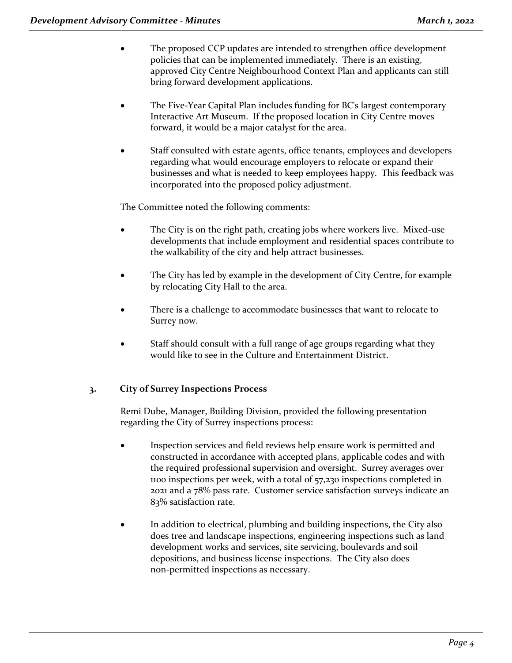- The proposed CCP updates are intended to strengthen office development policies that can be implemented immediately. There is an existing, approved City Centre Neighbourhood Context Plan and applicants can still bring forward development applications.
- The Five-Year Capital Plan includes funding for BC's largest contemporary Interactive Art Museum. If the proposed location in City Centre moves forward, it would be a major catalyst for the area.
- Staff consulted with estate agents, office tenants, employees and developers regarding what would encourage employers to relocate or expand their businesses and what is needed to keep employees happy. This feedback was incorporated into the proposed policy adjustment.

The Committee noted the following comments:

- The City is on the right path, creating jobs where workers live. Mixed-use developments that include employment and residential spaces contribute to the walkability of the city and help attract businesses.
- The City has led by example in the development of City Centre, for example by relocating City Hall to the area.
- There is a challenge to accommodate businesses that want to relocate to Surrey now.
- Staff should consult with a full range of age groups regarding what they would like to see in the Culture and Entertainment District.

# **3. City of Surrey Inspections Process**

Remi Dube, Manager, Building Division, provided the following presentation regarding the City of Surrey inspections process:

- Inspection services and field reviews help ensure work is permitted and constructed in accordance with accepted plans, applicable codes and with the required professional supervision and oversight. Surrey averages over 1100 inspections per week, with a total of 57,230 inspections completed in 2021 and a 78% pass rate. Customer service satisfaction surveys indicate an 83% satisfaction rate.
- In addition to electrical, plumbing and building inspections, the City also does tree and landscape inspections, engineering inspections such as land development works and services, site servicing, boulevards and soil depositions, and business license inspections. The City also does non-permitted inspections as necessary.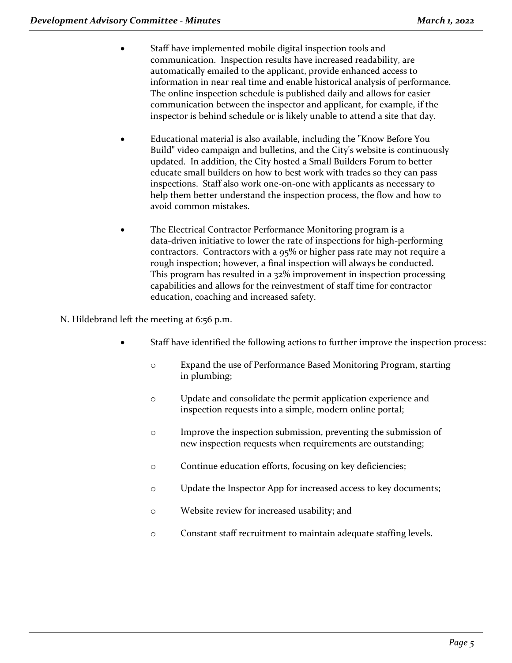- Staff have implemented mobile digital inspection tools and communication. Inspection results have increased readability, are automatically emailed to the applicant, provide enhanced access to information in near real time and enable historical analysis of performance. The online inspection schedule is published daily and allows for easier communication between the inspector and applicant, for example, if the inspector is behind schedule or is likely unable to attend a site that day.
- Educational material is also available, including the "Know Before You Build" video campaign and bulletins, and the City's website is continuously updated. In addition, the City hosted a Small Builders Forum to better educate small builders on how to best work with trades so they can pass inspections. Staff also work one-on-one with applicants as necessary to help them better understand the inspection process, the flow and how to avoid common mistakes.
- The Electrical Contractor Performance Monitoring program is a data-driven initiative to lower the rate of inspections for high-performing contractors. Contractors with a 95% or higher pass rate may not require a rough inspection; however, a final inspection will always be conducted. This program has resulted in a 32% improvement in inspection processing capabilities and allows for the reinvestment of staff time for contractor education, coaching and increased safety.

N. Hildebrand left the meeting at 6:56 p.m.

- Staff have identified the following actions to further improve the inspection process:
	- o Expand the use of Performance Based Monitoring Program, starting in plumbing;
	- o Update and consolidate the permit application experience and inspection requests into a simple, modern online portal;
	- o Improve the inspection submission, preventing the submission of new inspection requests when requirements are outstanding;
	- o Continue education efforts, focusing on key deficiencies;
	- o Update the Inspector App for increased access to key documents;
	- o Website review for increased usability; and
	- o Constant staff recruitment to maintain adequate staffing levels.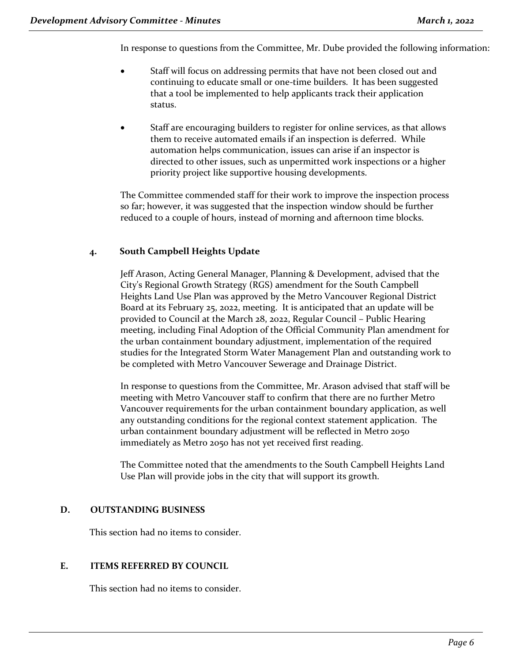In response to questions from the Committee, Mr. Dube provided the following information:

- Staff will focus on addressing permits that have not been closed out and continuing to educate small or one-time builders. It has been suggested that a tool be implemented to help applicants track their application status.
- Staff are encouraging builders to register for online services, as that allows them to receive automated emails if an inspection is deferred. While automation helps communication, issues can arise if an inspector is directed to other issues, such as unpermitted work inspections or a higher priority project like supportive housing developments.

The Committee commended staff for their work to improve the inspection process so far; however, it was suggested that the inspection window should be further reduced to a couple of hours, instead of morning and afternoon time blocks.

# **4. South Campbell Heights Update**

Jeff Arason, Acting General Manager, Planning & Development, advised that the City's Regional Growth Strategy (RGS) amendment for the South Campbell Heights Land Use Plan was approved by the Metro Vancouver Regional District Board at its February 25, 2022, meeting. It is anticipated that an update will be provided to Council at the March 28, 2022, Regular Council – Public Hearing meeting, including Final Adoption of the Official Community Plan amendment for the urban containment boundary adjustment, implementation of the required studies for the Integrated Storm Water Management Plan and outstanding work to be completed with Metro Vancouver Sewerage and Drainage District.

In response to questions from the Committee, Mr. Arason advised that staff will be meeting with Metro Vancouver staff to confirm that there are no further Metro Vancouver requirements for the urban containment boundary application, as well any outstanding conditions for the regional context statement application. The urban containment boundary adjustment will be reflected in Metro 2050 immediately as Metro 2050 has not yet received first reading.

The Committee noted that the amendments to the South Campbell Heights Land Use Plan will provide jobs in the city that will support its growth.

# **D. OUTSTANDING BUSINESS**

This section had no items to consider.

# **E. ITEMS REFERRED BY COUNCIL**

This section had no items to consider.